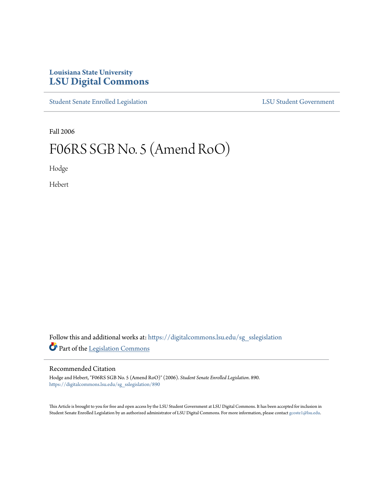## **Louisiana State University [LSU Digital Commons](https://digitalcommons.lsu.edu?utm_source=digitalcommons.lsu.edu%2Fsg_sslegislation%2F890&utm_medium=PDF&utm_campaign=PDFCoverPages)**

[Student Senate Enrolled Legislation](https://digitalcommons.lsu.edu/sg_sslegislation?utm_source=digitalcommons.lsu.edu%2Fsg_sslegislation%2F890&utm_medium=PDF&utm_campaign=PDFCoverPages) [LSU Student Government](https://digitalcommons.lsu.edu/sg?utm_source=digitalcommons.lsu.edu%2Fsg_sslegislation%2F890&utm_medium=PDF&utm_campaign=PDFCoverPages)

Fall 2006

## F06RS SGB No. 5 (Amend RoO)

Hodge

Hebert

Follow this and additional works at: [https://digitalcommons.lsu.edu/sg\\_sslegislation](https://digitalcommons.lsu.edu/sg_sslegislation?utm_source=digitalcommons.lsu.edu%2Fsg_sslegislation%2F890&utm_medium=PDF&utm_campaign=PDFCoverPages) Part of the [Legislation Commons](http://network.bepress.com/hgg/discipline/859?utm_source=digitalcommons.lsu.edu%2Fsg_sslegislation%2F890&utm_medium=PDF&utm_campaign=PDFCoverPages)

## Recommended Citation

Hodge and Hebert, "F06RS SGB No. 5 (Amend RoO)" (2006). *Student Senate Enrolled Legislation*. 890. [https://digitalcommons.lsu.edu/sg\\_sslegislation/890](https://digitalcommons.lsu.edu/sg_sslegislation/890?utm_source=digitalcommons.lsu.edu%2Fsg_sslegislation%2F890&utm_medium=PDF&utm_campaign=PDFCoverPages)

This Article is brought to you for free and open access by the LSU Student Government at LSU Digital Commons. It has been accepted for inclusion in Student Senate Enrolled Legislation by an authorized administrator of LSU Digital Commons. For more information, please contact [gcoste1@lsu.edu.](mailto:gcoste1@lsu.edu)